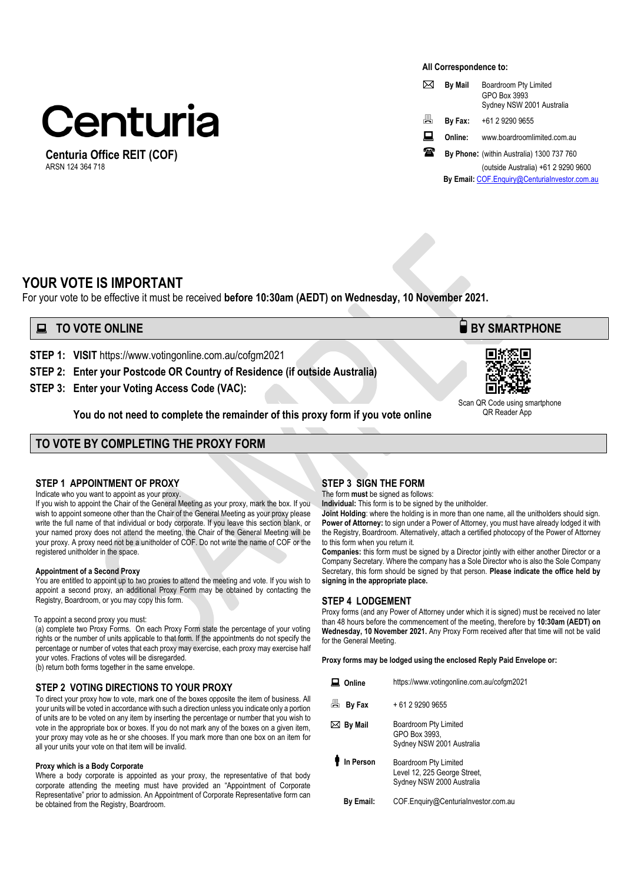# Centuria

**Centuria Office REIT (COF)**  ARSN 124 364 718

#### **All Correspondence to:**

|   | <b>By Mail</b> | Boardroom Pty Limited<br>GPO Box 3993<br>Sydney NSW 2001 Australia |
|---|----------------|--------------------------------------------------------------------|
| 昌 | By Fax:        | +61 2 9290 9655                                                    |
| ᄴ | Online:        | www.boardroomlimited.com.au                                        |
| æ |                | By Phone: (within Australia) 1300 737 760                          |
|   |                | (outside Australia) +61 2 9290 9600                                |
|   |                | By Email: COF.Enquiry@Centurialnvestor.com.au                      |

# **YOUR VOTE IS IMPORTANT**

For your vote to be effective it must be received **before 10:30am (AEDT) on Wednesday, 10 November 2021.** 

# **TO VOTE ONLINE BY SMARTPHONE**

**STEP 1: VISIT** https://www.votingonline.com.au/cofgm2021

- **STEP 2: Enter your Postcode OR Country of Residence (if outside Australia)**
- **STEP 3: Enter your Voting Access Code (VAC):**

**You do not need to complete the remainder of this proxy form if you vote online** 

# **TO VOTE BY COMPLETING THE PROXY FORM**

## **STEP 1 APPOINTMENT OF PROXY**

Indicate who you want to appoint as your proxy.

If you wish to appoint the Chair of the General Meeting as your proxy, mark the box. If you wish to appoint someone other than the Chair of the General Meeting as your proxy please write the full name of that individual or body corporate. If you leave this section blank, or your named proxy does not attend the meeting, the Chair of the General Meeting will be your proxy. A proxy need not be a unitholder of COF. Do not write the name of COF or the registered unitholder in the space.

#### **Appointment of a Second Proxy**

You are entitled to appoint up to two proxies to attend the meeting and vote. If you wish to appoint a second proxy, an additional Proxy Form may be obtained by contacting the Registry, Boardroom, or you may copy this form.

#### To appoint a second proxy you must:

(a) complete two Proxy Forms. On each Proxy Form state the percentage of your voting rights or the number of units applicable to that form. If the appointments do not specify the percentage or number of votes that each proxy may exercise, each proxy may exercise half your votes. Fractions of votes will be disregarded.

(b) return both forms together in the same envelope.

## **STEP 2 VOTING DIRECTIONS TO YOUR PROXY**

To direct your proxy how to vote, mark one of the boxes opposite the item of business. All your units will be voted in accordance with such a direction unless you indicate only a portion of units are to be voted on any item by inserting the percentage or number that you wish to vote in the appropriate box or boxes. If you do not mark any of the boxes on a given item, your proxy may vote as he or she chooses. If you mark more than one box on an item for all your units your vote on that item will be invalid.

#### **Proxy which is a Body Corporate**

Where a body corporate is appointed as your proxy, the representative of that body corporate attending the meeting must have provided an "Appointment of Corporate Representative" prior to admission. An Appointment of Corporate Representative form can be obtained from the Registry, Boardroom.

## **STEP 3 SIGN THE FORM**

The form **must** be signed as follows: **Individual:** This form is to be signed by the unitholder.

**Joint Holding**: where the holding is in more than one name, all the unitholders should sign. **Power of Attorney:** to sign under a Power of Attorney, you must have already lodged it with the Registry, Boardroom. Alternatively, attach a certified photocopy of the Power of Attorney to this form when you return it.

**Companies:** this form must be signed by a Director jointly with either another Director or a Company Secretary. Where the company has a Sole Director who is also the Sole Company Secretary, this form should be signed by that person. **Please indicate the office held by signing in the appropriate place.**

## **STEP 4 LODGEMENT**

Proxy forms (and any Power of Attorney under which it is signed) must be received no later than 48 hours before the commencement of the meeting, therefore by **10:30am (AEDT) on Wednesday, 10 November 2021.** Any Proxy Form received after that time will not be valid for the General Meeting.

**Proxy forms may be lodged using the enclosed Reply Paid Envelope or:** 

| Online         | https://www.votingonline.com.au/cofgm2021                                          |
|----------------|------------------------------------------------------------------------------------|
| 咼<br>By Fax    | + 61 2 9290 9655                                                                   |
| <b>By Mail</b> | Boardroom Pty Limited<br>GPO Box 3993.<br>Sydney NSW 2001 Australia                |
| In Person      | Boardroom Pty Limited<br>Level 12, 225 George Street,<br>Sydney NSW 2000 Australia |
| Bv Email:      | COF.Enguiry@Centurialnvestor.com.au                                                |



 Scan QR Code using smartphone QR Reader App